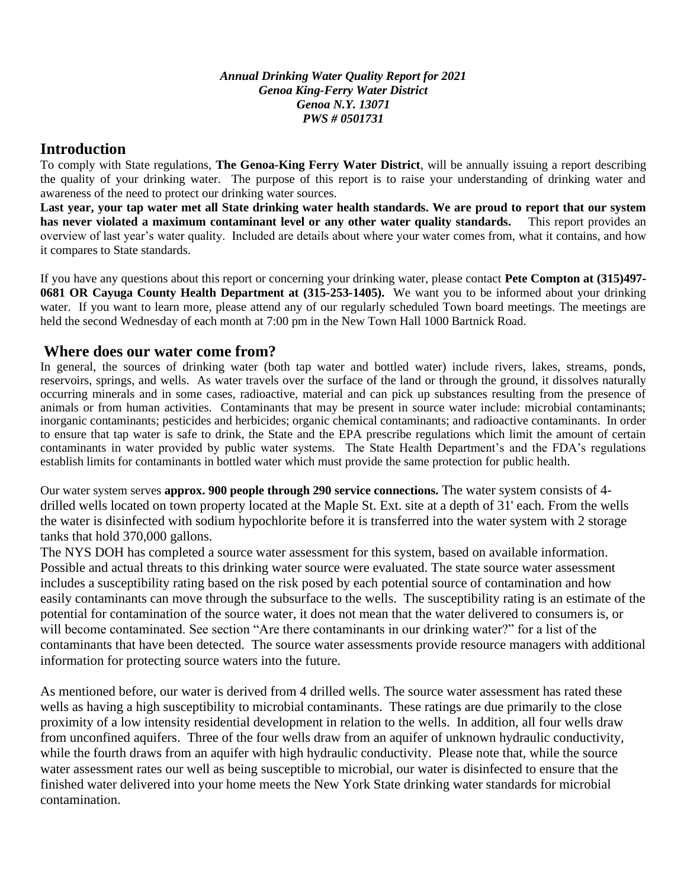*Annual Drinking Water Quality Report for 2021 Genoa King-Ferry Water District Genoa N.Y. 13071 PWS # 0501731* 

#### **Introduction**

To comply with State regulations, **The Genoa-King Ferry Water District**, will be annually issuing a report describing the quality of your drinking water. The purpose of this report is to raise your understanding of drinking water and awareness of the need to protect our drinking water sources.

**Last year, your tap water met all State drinking water health standards. We are proud to report that our system has never violated a maximum contaminant level or any other water quality standards.** This report provides an overview of last year's water quality. Included are details about where your water comes from, what it contains, and how it compares to State standards.

If you have any questions about this report or concerning your drinking water, please contact **Pete Compton at (315)497- 0681 OR Cayuga County Health Department at (315-253-1405).** We want you to be informed about your drinking water. If you want to learn more, please attend any of our regularly scheduled Town board meetings. The meetings are held the second Wednesday of each month at 7:00 pm in the New Town Hall 1000 Bartnick Road.

#### **Where does our water come from?**

In general, the sources of drinking water (both tap water and bottled water) include rivers, lakes, streams, ponds, reservoirs, springs, and wells. As water travels over the surface of the land or through the ground, it dissolves naturally occurring minerals and in some cases, radioactive, material and can pick up substances resulting from the presence of animals or from human activities. Contaminants that may be present in source water include: microbial contaminants; inorganic contaminants; pesticides and herbicides; organic chemical contaminants; and radioactive contaminants. In order to ensure that tap water is safe to drink, the State and the EPA prescribe regulations which limit the amount of certain contaminants in water provided by public water systems. The State Health Department's and the FDA's regulations establish limits for contaminants in bottled water which must provide the same protection for public health.

Our water system serves **approx. 900 people through 290 service connections.** The water system consists of 4 drilled wells located on town property located at the Maple St. Ext. site at a depth of 31' each. From the wells the water is disinfected with sodium hypochlorite before it is transferred into the water system with 2 storage tanks that hold 370,000 gallons.

The NYS DOH has completed a source water assessment for this system, based on available information. Possible and actual threats to this drinking water source were evaluated. The state source water assessment includes a susceptibility rating based on the risk posed by each potential source of contamination and how easily contaminants can move through the subsurface to the wells. The susceptibility rating is an estimate of the potential for contamination of the source water, it does not mean that the water delivered to consumers is, or will become contaminated. See section "Are there contaminants in our drinking water?" for a list of the contaminants that have been detected. The source water assessments provide resource managers with additional information for protecting source waters into the future.

As mentioned before, our water is derived from 4 drilled wells. The source water assessment has rated these wells as having a high susceptibility to microbial contaminants. These ratings are due primarily to the close proximity of a low intensity residential development in relation to the wells. In addition, all four wells draw from unconfined aquifers. Three of the four wells draw from an aquifer of unknown hydraulic conductivity, while the fourth draws from an aquifer with high hydraulic conductivity. Please note that, while the source water assessment rates our well as being susceptible to microbial, our water is disinfected to ensure that the finished water delivered into your home meets the New York State drinking water standards for microbial contamination.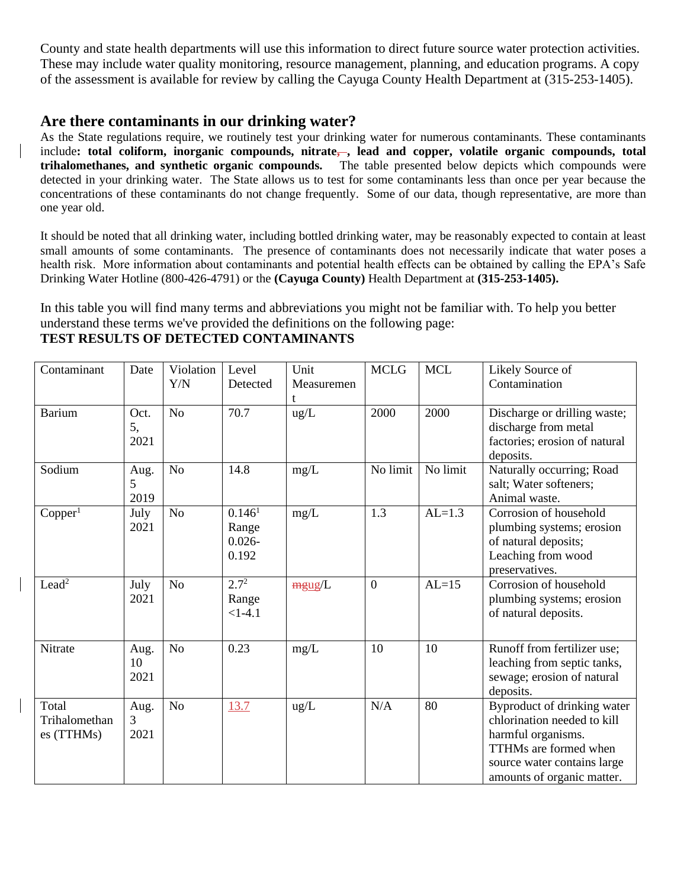County and state health departments will use this information to direct future source water protection activities. These may include water quality monitoring, resource management, planning, and education programs. A copy of the assessment is available for review by calling the Cayuga County Health Department at (315-253-1405).

### **Are there contaminants in our drinking water?**

As the State regulations require, we routinely test your drinking water for numerous contaminants. These contaminants include**: total coliform, inorganic compounds, nitrate, , lead and copper, volatile organic compounds, total trihalomethanes, and synthetic organic compounds.** The table presented below depicts which compounds were detected in your drinking water. The State allows us to test for some contaminants less than once per year because the concentrations of these contaminants do not change frequently. Some of our data, though representative, are more than one year old.

It should be noted that all drinking water, including bottled drinking water, may be reasonably expected to contain at least small amounts of some contaminants. The presence of contaminants does not necessarily indicate that water poses a health risk. More information about contaminants and potential health effects can be obtained by calling the EPA's Safe Drinking Water Hotline (800-426-4791) or the **(Cayuga County)** Health Department at **(315-253-1405).**

In this table you will find many terms and abbreviations you might not be familiar with. To help you better understand these terms we've provided the definitions on the following page:

#### Contaminant Date Violation Y/N Level Detected Unit Measuremen t MCLG | MCL | Likely Source of Contamination Barium Oct. 5, 2021 No  $\vert$  70.7  $\vert$  ug/L  $\vert$  2000  $\vert$  2000  $\vert$  Discharge or drilling waste; discharge from metal factories; erosion of natural deposits. Sodium Aug. 5 2019 No 14.8  $mg/L$  No limit No limit Naturally occurring; Road salt; Water softeners; Animal waste.  $Copper<sup>1</sup>$ July 2021 No  $0.146<sup>1</sup>$ Range 0.026- 0.192  $mg/L$  1.3  $|AL=1.3$  Corrosion of household plumbing systems; erosion of natural deposits; Leaching from wood preservatives. Lead<sup>2</sup> July 2021 No  $\boxed{2.7^2}$ Range  $<1-4.1$  $mgug/L$  | 0 | AL=15 | Corrosion of household plumbing systems; erosion of natural deposits. Nitrate Aug. 10 2021 No 0.23 mg/L 10 10 Runoff from fertilizer use; leaching from septic tanks, sewage; erosion of natural deposits. Total Trihalomethan es (TTHMs) Aug. 3 2021 No 13.7 ug/L N/A 80 Byproduct of drinking water chlorination needed to kill harmful organisms. TTHMs are formed when source water contains large amounts of organic matter.

#### **TEST RESULTS OF DETECTED CONTAMINANTS**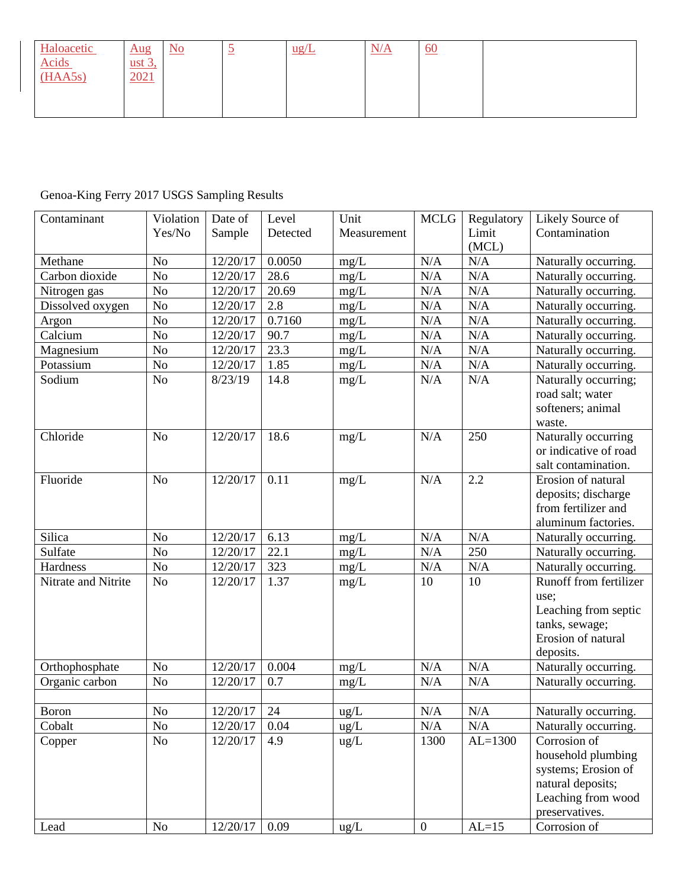| Haloacetic                            | $\frac{\text{Aug}}{\text{Aug}}$ | $\underline{\mathrm{No}}$ | $\overline{\phantom{a}}$<br>$\overline{\phantom{a}}$ | $ug/L$ | N/A | $\underline{60}$ |  |
|---------------------------------------|---------------------------------|---------------------------|------------------------------------------------------|--------|-----|------------------|--|
| $\frac{\text{Acids}}{\text{(HAASs)}}$ | ust $3$ ,                       |                           |                                                      |        |     |                  |  |
|                                       | 2021                            |                           |                                                      |        |     |                  |  |
|                                       |                                 |                           |                                                      |        |     |                  |  |
|                                       |                                 |                           |                                                      |        |     |                  |  |

# Genoa-King Ferry 2017 USGS Sampling Results

| Contaminant         | Violation<br>Yes/No | Date of<br>Sample | Level<br>Detected | Unit<br>Measurement | <b>MCLG</b>      | Regulatory<br>Limit | Likely Source of<br>Contamination    |
|---------------------|---------------------|-------------------|-------------------|---------------------|------------------|---------------------|--------------------------------------|
|                     |                     |                   |                   |                     |                  | (MCL)               |                                      |
| Methane             | N <sub>o</sub>      | 12/20/17          | 0.0050            | mg/L                | N/A              | N/A                 | Naturally occurring.                 |
| Carbon dioxide      | No                  | 12/20/17          | 28.6              | mg/L                | N/A              | N/A                 | Naturally occurring.                 |
| Nitrogen gas        | No                  | 12/20/17          | 20.69             | mg/L                | N/A              | N/A                 | Naturally occurring.                 |
| Dissolved oxygen    | No                  | 12/20/17          | 2.8               | mg/L                | N/A              | N/A                 | Naturally occurring.                 |
| Argon               | No                  | 12/20/17          | 0.7160            | mg/L                | $\rm N/A$        | N/A                 | Naturally occurring.                 |
| Calcium             | No                  | 12/20/17          | 90.7              | mg/L                | $\rm N/A$        | N/A                 | Naturally occurring.                 |
| Magnesium           | No                  | 12/20/17          | 23.3              | mg/L                | N/A              | N/A                 | Naturally occurring.                 |
| Potassium           | No                  | 12/20/17          | 1.85              | mg/L                | N/A              | $\rm N/A$           | Naturally occurring.                 |
| Sodium              | N <sub>o</sub>      | 8/23/19           | 14.8              | mg/L                | N/A              | N/A                 | Naturally occurring;                 |
|                     |                     |                   |                   |                     |                  |                     | road salt; water                     |
|                     |                     |                   |                   |                     |                  |                     | softeners; animal                    |
|                     |                     |                   |                   |                     |                  |                     | waste.                               |
| Chloride            | N <sub>o</sub>      | 12/20/17          | 18.6              | mg/L                | N/A              | 250                 | Naturally occurring                  |
|                     |                     |                   |                   |                     |                  |                     | or indicative of road                |
|                     |                     |                   |                   |                     |                  |                     | salt contamination.                  |
| Fluoride            | N <sub>o</sub>      | 12/20/17          | 0.11              | mg/L                | N/A              | 2.2                 | Erosion of natural                   |
|                     |                     |                   |                   |                     |                  |                     | deposits; discharge                  |
|                     |                     |                   |                   |                     |                  |                     | from fertilizer and                  |
|                     |                     |                   |                   |                     |                  |                     | aluminum factories.                  |
| Silica              | N <sub>o</sub>      | 12/20/17          | 6.13              | $mg/L$              | N/A              | N/A                 | Naturally occurring.                 |
| Sulfate             | $\rm No$            | 12/20/17          | 22.1              | mg/L                | N/A              | 250                 | Naturally occurring.                 |
| Hardness            | $\rm No$            | 12/20/17          | 323               | mg/L                | N/A              | N/A                 | Naturally occurring.                 |
| Nitrate and Nitrite | N <sub>o</sub>      | 12/20/17          | 1.37              | mg/L                | 10               | 10                  | Runoff from fertilizer               |
|                     |                     |                   |                   |                     |                  |                     | use;                                 |
|                     |                     |                   |                   |                     |                  |                     | Leaching from septic                 |
|                     |                     |                   |                   |                     |                  |                     | tanks, sewage;<br>Erosion of natural |
|                     |                     |                   |                   |                     |                  |                     | deposits.                            |
| Orthophosphate      | N <sub>o</sub>      | 12/20/17          | 0.004             | mg/L                | N/A              | N/A                 | Naturally occurring.                 |
| Organic carbon      | N <sub>o</sub>      | 12/20/17          | 0.7               | mg/L                | N/A              | N/A                 | Naturally occurring.                 |
|                     |                     |                   |                   |                     |                  |                     |                                      |
| <b>Boron</b>        | $\rm No$            | $12/20/17$ 24     |                   | ug/L                | $\rm N/A$        | $\rm N/A$           | Naturally occurring.                 |
| Cobalt              | N <sub>o</sub>      | 12/20/17          | 0.04              | $\text{ug/L}$       | N/A              | N/A                 | Naturally occurring.                 |
| Copper              | No                  | 12/20/17          | 4.9               | ug/L                | 1300             | $AL=1300$           | Corrosion of                         |
|                     |                     |                   |                   |                     |                  |                     | household plumbing                   |
|                     |                     |                   |                   |                     |                  |                     | systems; Erosion of                  |
|                     |                     |                   |                   |                     |                  |                     | natural deposits;                    |
|                     |                     |                   |                   |                     |                  |                     | Leaching from wood                   |
|                     |                     |                   |                   |                     |                  |                     | preservatives.                       |
| Lead                | $\rm No$            | 12/20/17          | 0.09              | $\text{ug/L}$       | $\boldsymbol{0}$ | $AL=15$             | Corrosion of                         |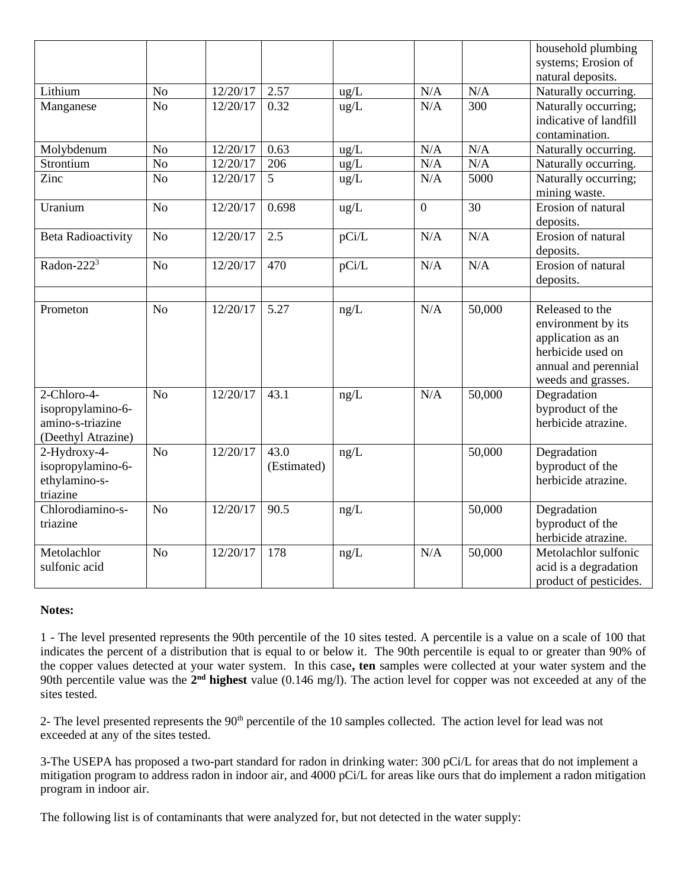|                              |                |          |                |       |                |        | household plumbing                    |
|------------------------------|----------------|----------|----------------|-------|----------------|--------|---------------------------------------|
|                              |                |          |                |       |                |        | systems; Erosion of                   |
|                              |                |          |                |       |                |        | natural deposits.                     |
| Lithium                      | No             | 12/20/17 | 2.57           | ug/L  | $\rm N/A$      | N/A    | Naturally occurring.                  |
| Manganese                    | N <sub>o</sub> | 12/20/17 | 0.32           | ug/L  | N/A            | 300    | Naturally occurring;                  |
|                              |                |          |                |       |                |        | indicative of landfill                |
|                              |                |          |                |       |                |        | contamination.                        |
| Molybdenum                   | No             | 12/20/17 | 0.63           | ug/L  | N/A            | N/A    | Naturally occurring.                  |
| Strontium                    | No             | 12/20/17 | 206            | ug/L  | N/A            | N/A    | Naturally occurring.                  |
| Zinc                         | N <sub>o</sub> | 12/20/17 | 5 <sup>5</sup> | ug/L  | N/A            | 5000   | Naturally occurring;<br>mining waste. |
| Uranium                      | N <sub>o</sub> | 12/20/17 | 0.698          | ug/L  | $\overline{0}$ | 30     | Erosion of natural                    |
|                              |                |          |                |       |                |        | deposits.                             |
| <b>Beta Radioactivity</b>    | N <sub>o</sub> | 12/20/17 | 2.5            | pCi/L | N/A            | N/A    | Erosion of natural                    |
|                              |                |          |                |       |                |        | deposits.                             |
| Radon-222 <sup>3</sup>       | N <sub>o</sub> | 12/20/17 | 470            | pCi/L | N/A            | N/A    | Erosion of natural                    |
|                              |                |          |                |       |                |        | deposits.                             |
|                              |                |          |                |       |                |        |                                       |
| Prometon                     | N <sub>o</sub> | 12/20/17 | 5.27           | ng/L  | N/A            | 50,000 | Released to the                       |
|                              |                |          |                |       |                |        | environment by its                    |
|                              |                |          |                |       |                |        | application as an                     |
|                              |                |          |                |       |                |        | herbicide used on                     |
|                              |                |          |                |       |                |        | annual and perennial                  |
|                              |                |          |                |       |                |        | weeds and grasses.                    |
| 2-Chloro-4-                  | N <sub>o</sub> | 12/20/17 | 43.1           | ng/L  | N/A            | 50,000 | Degradation                           |
| isopropylamino-6-            |                |          |                |       |                |        | byproduct of the                      |
| amino-s-triazine             |                |          |                |       |                |        | herbicide atrazine.                   |
| (Deethyl Atrazine)           |                |          |                |       |                |        |                                       |
| 2-Hydroxy-4-                 | N <sub>o</sub> | 12/20/17 | 43.0           | ng/L  |                | 50,000 | Degradation                           |
| isopropylamino-6-            |                |          | (Estimated)    |       |                |        | byproduct of the                      |
| ethylamino-s-                |                |          |                |       |                |        | herbicide atrazine.                   |
| triazine<br>Chlorodiamino-s- |                | 12/20/17 |                |       |                |        |                                       |
| triazine                     | N <sub>o</sub> |          | 90.5           | ng/L  |                | 50,000 | Degradation<br>byproduct of the       |
|                              |                |          |                |       |                |        | herbicide atrazine.                   |
| Metolachlor                  | N <sub>o</sub> | 12/20/17 | 178            | ng/L  | N/A            | 50,000 | Metolachlor sulfonic                  |
| sulfonic acid                |                |          |                |       |                |        | acid is a degradation                 |
|                              |                |          |                |       |                |        | product of pesticides.                |
|                              |                |          |                |       |                |        |                                       |

#### **Notes:**

1 - The level presented represents the 90th percentile of the 10 sites tested. A percentile is a value on a scale of 100 that indicates the percent of a distribution that is equal to or below it. The 90th percentile is equal to or greater than 90% of the copper values detected at your water system. In this case**, ten** samples were collected at your water system and the 90th percentile value was the 2<sup>nd</sup> highest value (0.146 mg/l). The action level for copper was not exceeded at any of the sites tested.

2- The level presented represents the 90<sup>th</sup> percentile of the 10 samples collected. The action level for lead was not exceeded at any of the sites tested.

3-The USEPA has proposed a two-part standard for radon in drinking water: 300 pCi/L for areas that do not implement a mitigation program to address radon in indoor air, and 4000 pCi/L for areas like ours that do implement a radon mitigation program in indoor air.

The following list is of contaminants that were analyzed for, but not detected in the water supply: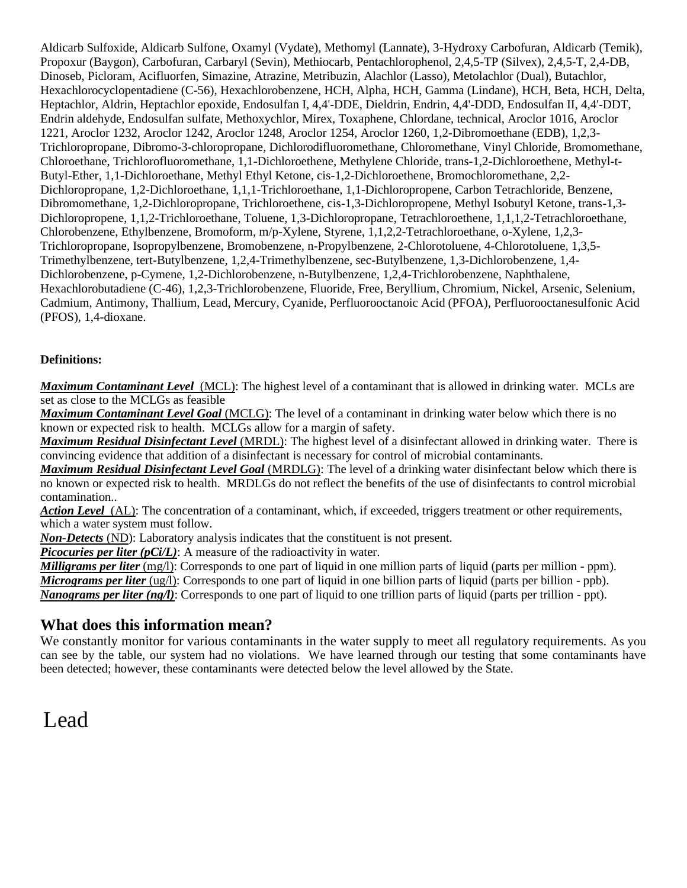Aldicarb Sulfoxide, Aldicarb Sulfone, Oxamyl (Vydate), Methomyl (Lannate), 3-Hydroxy Carbofuran, Aldicarb (Temik), Propoxur (Baygon), Carbofuran, Carbaryl (Sevin), Methiocarb, Pentachlorophenol, 2,4,5-TP (Silvex), 2,4,5-T, 2,4-DB, Dinoseb, Picloram, Acifluorfen, Simazine, Atrazine, Metribuzin, Alachlor (Lasso), Metolachlor (Dual), Butachlor, Hexachlorocyclopentadiene (C-56), Hexachlorobenzene, HCH, Alpha, HCH, Gamma (Lindane), HCH, Beta, HCH, Delta, Heptachlor, Aldrin, Heptachlor epoxide, Endosulfan I, 4,4'-DDE, Dieldrin, Endrin, 4,4'-DDD, Endosulfan II, 4,4'-DDT, Endrin aldehyde, Endosulfan sulfate, Methoxychlor, Mirex, Toxaphene, Chlordane, technical, Aroclor 1016, Aroclor 1221, Aroclor 1232, Aroclor 1242, Aroclor 1248, Aroclor 1254, Aroclor 1260, 1,2-Dibromoethane (EDB), 1,2,3- Trichloropropane, Dibromo-3-chloropropane, Dichlorodifluoromethane, Chloromethane, Vinyl Chloride, Bromomethane, Chloroethane, Trichlorofluoromethane, 1,1-Dichloroethene, Methylene Chloride, trans-1,2-Dichloroethene, Methyl-t-Butyl-Ether, 1,1-Dichloroethane, Methyl Ethyl Ketone, cis-1,2-Dichloroethene, Bromochloromethane, 2,2- Dichloropropane, 1,2-Dichloroethane, 1,1,1-Trichloroethane, 1,1-Dichloropropene, Carbon Tetrachloride, Benzene, Dibromomethane, 1,2-Dichloropropane, Trichloroethene, cis-1,3-Dichloropropene, Methyl Isobutyl Ketone, trans-1,3- Dichloropropene, 1,1,2-Trichloroethane, Toluene, 1,3-Dichloropropane, Tetrachloroethene, 1,1,1,2-Tetrachloroethane, Chlorobenzene, Ethylbenzene, Bromoform, m/p-Xylene, Styrene, 1,1,2,2-Tetrachloroethane, o-Xylene, 1,2,3- Trichloropropane, Isopropylbenzene, Bromobenzene, n-Propylbenzene, 2-Chlorotoluene, 4-Chlorotoluene, 1,3,5- Trimethylbenzene, tert-Butylbenzene, 1,2,4-Trimethylbenzene, sec-Butylbenzene, 1,3-Dichlorobenzene, 1,4- Dichlorobenzene, p-Cymene, 1,2-Dichlorobenzene, n-Butylbenzene, 1,2,4-Trichlorobenzene, Naphthalene, Hexachlorobutadiene (C-46), 1,2,3-Trichlorobenzene, Fluoride, Free, Beryllium, Chromium, Nickel, Arsenic, Selenium, Cadmium, Antimony, Thallium, Lead, Mercury, Cyanide, Perfluorooctanoic Acid (PFOA), Perfluorooctanesulfonic Acid (PFOS), 1,4-dioxane.

#### **Definitions:**

*Maximum Contaminant Level*(MCL): The highest level of a contaminant that is allowed in drinking water. MCLs are set as close to the MCLGs as feasible

*Maximum Contaminant Level Goal* (MCLG): The level of a contaminant in drinking water below which there is no known or expected risk to health. MCLGs allow for a margin of safety.

*Maximum Residual Disinfectant Level* (MRDL): The highest level of a disinfectant allowed in drinking water. There is convincing evidence that addition of a disinfectant is necessary for control of microbial contaminants.

*Maximum Residual Disinfectant Level Goal* (MRDLG): The level of a drinking water disinfectant below which there is no known or expected risk to health. MRDLGs do not reflect the benefits of the use of disinfectants to control microbial contamination..

*Action Level*(AL): The concentration of a contaminant, which, if exceeded, triggers treatment or other requirements, which a water system must follow.

*Non-Detects* (ND): Laboratory analysis indicates that the constituent is not present.

*Picocuries per liter (pCi/L)*: A measure of the radioactivity in water.

*Milligrams per liter* (mg/l): Corresponds to one part of liquid in one million parts of liquid (parts per million - ppm). *Micrograms per liter* (ug/l): Corresponds to one part of liquid in one billion parts of liquid (parts per billion - ppb).

*Nanograms per liter (ng/l)*: Corresponds to one part of liquid to one trillion parts of liquid (parts per trillion - ppt).

#### **What does this information mean?**

We constantly monitor for various contaminants in the water supply to meet all regulatory requirements. As you can see by the table, our system had no violations. We have learned through our testing that some contaminants have been detected; however, these contaminants were detected below the level allowed by the State.

# Lead